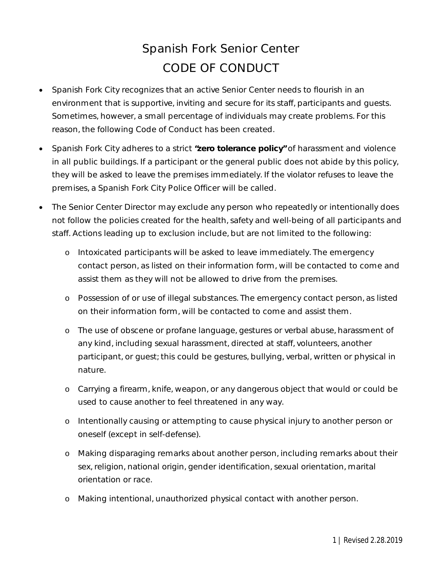# Spanish Fork Senior Center CODE OF CONDUCT

- Spanish Fork City recognizes that an active Senior Center needs to flourish in an environment that is supportive, inviting and secure for its staff, participants and guests. Sometimes, however, a small percentage of individuals may create problems. For this reason, the following Code of Conduct has been created.
- Spanish Fork City adheres to a strict **"zero tolerance policy"** of harassment and violence in all public buildings. If a participant or the general public does not abide by this policy, they will be asked to leave the premises immediately. If the violator refuses to leave the premises, a Spanish Fork City Police Officer will be called.
- The Senior Center Director may exclude any person who repeatedly or intentionally does not follow the policies created for the health, safety and well-being of all participants and staff. Actions leading up to exclusion include, but are not limited to the following:
	- o Intoxicated participants will be asked to leave immediately. The emergency contact person, as listed on their information form, will be contacted to come and assist them as they will not be allowed to drive from the premises.
	- o Possession of or use of illegal substances. The emergency contact person, as listed on their information form, will be contacted to come and assist them.
	- o The use of obscene or profane language, gestures or verbal abuse, harassment of any kind, including sexual harassment, directed at staff, volunteers, another participant, or guest; this could be gestures, bullying, verbal, written or physical in nature.
	- o Carrying a firearm, knife, weapon, or any dangerous object that would or could be used to cause another to feel threatened in any way.
	- o Intentionally causing or attempting to cause physical injury to another person or oneself (except in self-defense).
	- o Making disparaging remarks about another person, including remarks about their sex, religion, national origin, gender identification, sexual orientation, marital orientation or race.
	- o Making intentional, unauthorized physical contact with another person.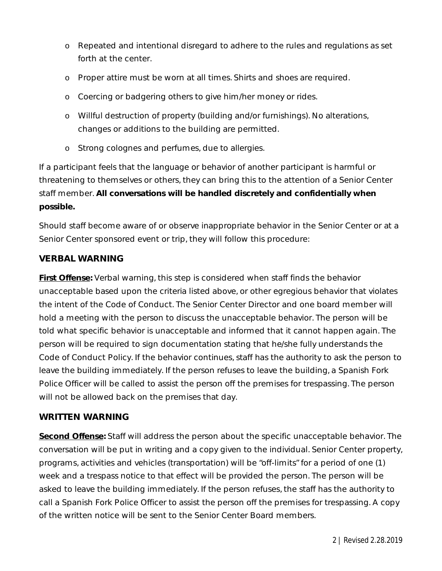- o Repeated and intentional disregard to adhere to the rules and regulations as set forth at the center.
- o Proper attire must be worn at all times. Shirts and shoes are required.
- o Coercing or badgering others to give him/her money or rides.
- o Willful destruction of property (building and/or furnishings). No alterations, changes or additions to the building are permitted.
- o Strong colognes and perfumes, due to allergies.

If a participant feels that the language or behavior of another participant is harmful or threatening to themselves or others, they can bring this to the attention of a Senior Center staff member. **All conversations will be handled discretely and confidentially when possible.**

Should staff become aware of or observe inappropriate behavior in the Senior Center or at a Senior Center sponsored event or trip, they will follow this procedure:

#### **VERBAL WARNING**

**First Offense:** Verbal warning, this step is considered when staff finds the behavior unacceptable based upon the criteria listed above, or other egregious behavior that violates the intent of the Code of Conduct. The Senior Center Director and one board member will hold a meeting with the person to discuss the unacceptable behavior. The person will be told what specific behavior is unacceptable and informed that it cannot happen again. The person will be required to sign documentation stating that he/she fully understands the Code of Conduct Policy. If the behavior continues, staff has the authority to ask the person to leave the building immediately. If the person refuses to leave the building, a Spanish Fork Police Officer will be called to assist the person off the premises for trespassing. The person will not be allowed back on the premises that day.

#### **WRITTEN WARNING**

**Second Offense:** Staff will address the person about the specific unacceptable behavior. The conversation will be put in writing and a copy given to the individual. Senior Center property, programs, activities and vehicles (transportation) will be "off-limits" for a period of one (1) week and a trespass notice to that effect will be provided the person. The person will be asked to leave the building immediately. If the person refuses, the staff has the authority to call a Spanish Fork Police Officer to assist the person off the premises for trespassing. A copy of the written notice will be sent to the Senior Center Board members.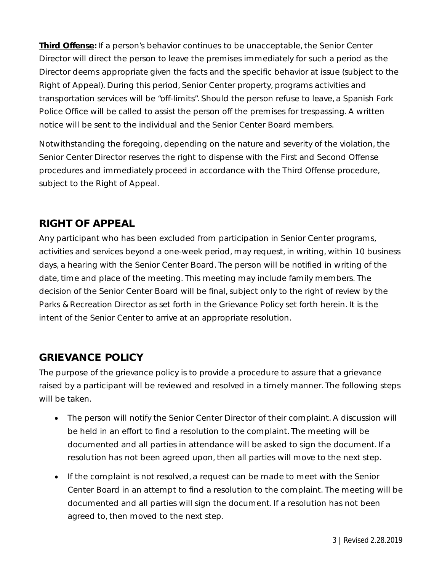**Third Offense:** If a person's behavior continues to be unacceptable, the Senior Center Director will direct the person to leave the premises immediately for such a period as the Director deems appropriate given the facts and the specific behavior at issue (subject to the Right of Appeal). During this period, Senior Center property, programs activities and transportation services will be "off-limits". Should the person refuse to leave, a Spanish Fork Police Office will be called to assist the person off the premises for trespassing. A written notice will be sent to the individual and the Senior Center Board members.

Notwithstanding the foregoing, depending on the nature and severity of the violation, the Senior Center Director reserves the right to dispense with the First and Second Offense procedures and immediately proceed in accordance with the Third Offense procedure, subject to the Right of Appeal.

### **RIGHT OF APPEAL**

Any participant who has been excluded from participation in Senior Center programs, activities and services beyond a one-week period, may request, in writing, within 10 business days, a hearing with the Senior Center Board. The person will be notified in writing of the date, time and place of the meeting. This meeting may include family members. The decision of the Senior Center Board will be final, subject only to the right of review by the Parks & Recreation Director as set forth in the Grievance Policy set forth herein. It is the intent of the Senior Center to arrive at an appropriate resolution.

## **GRIEVANCE POLICY**

The purpose of the grievance policy is to provide a procedure to assure that a grievance raised by a participant will be reviewed and resolved in a timely manner. The following steps will be taken.

- The person will notify the Senior Center Director of their complaint. A discussion will be held in an effort to find a resolution to the complaint. The meeting will be documented and all parties in attendance will be asked to sign the document. If a resolution has not been agreed upon, then all parties will move to the next step.
- If the complaint is not resolved, a request can be made to meet with the Senior Center Board in an attempt to find a resolution to the complaint. The meeting will be documented and all parties will sign the document. If a resolution has not been agreed to, then moved to the next step.